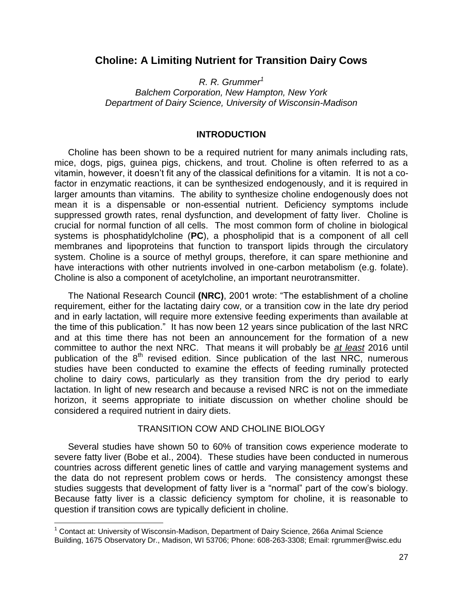# **Choline: A Limiting Nutrient for Transition Dairy Cows**

*R. R. Grummer<sup>1</sup>*

*Balchem Corporation, New Hampton, New York Department of Dairy Science, University of Wisconsin-Madison*

# **INTRODUCTION**

Choline has been shown to be a required nutrient for many animals including rats, mice, dogs, pigs, guinea pigs, chickens, and trout. Choline is often referred to as a vitamin, however, it doesn't fit any of the classical definitions for a vitamin. It is not a cofactor in enzymatic reactions, it can be synthesized endogenously, and it is required in larger amounts than vitamins. The ability to synthesize choline endogenously does not mean it is a dispensable or non-essential nutrient. Deficiency symptoms include suppressed growth rates, renal dysfunction, and development of fatty liver. Choline is crucial for normal function of all cells. The most common form of choline in biological systems is phosphatidylcholine (**PC**), a phospholipid that is a component of all cell membranes and lipoproteins that function to transport lipids through the circulatory system. Choline is a source of methyl groups, therefore, it can spare methionine and have interactions with other nutrients involved in one-carbon metabolism (e.g. folate). Choline is also a component of acetylcholine, an important neurotransmitter.

The National Research Council **(NRC)**, 2001 wrote: "The establishment of a choline requirement, either for the lactating dairy cow, or a transition cow in the late dry period and in early lactation, will require more extensive feeding experiments than available at the time of this publication." It has now been 12 years since publication of the last NRC and at this time there has not been an announcement for the formation of a new committee to author the next NRC. That means it will probably be *at least* 2016 until publication of the  $8<sup>th</sup>$  revised edition. Since publication of the last NRC, numerous studies have been conducted to examine the effects of feeding ruminally protected choline to dairy cows, particularly as they transition from the dry period to early lactation. In light of new research and because a revised NRC is not on the immediate horizon, it seems appropriate to initiate discussion on whether choline should be considered a required nutrient in dairy diets.

#### TRANSITION COW AND CHOLINE BIOLOGY

Several studies have shown 50 to 60% of transition cows experience moderate to severe fatty liver (Bobe et al., 2004). These studies have been conducted in numerous countries across different genetic lines of cattle and varying management systems and the data do not represent problem cows or herds. The consistency amongst these studies suggests that development of fatty liver is a "normal" part of the cow's biology. Because fatty liver is a classic deficiency symptom for choline, it is reasonable to question if transition cows are typically deficient in choline.

 $\overline{\phantom{a}}$ 

<sup>&</sup>lt;sup>1</sup> Contact at: University of Wisconsin-Madison, Department of Dairy Science, 266a Animal Science Building, 1675 Observatory Dr., Madison, WI 53706; Phone: 608-263-3308; Email: rgrummer@wisc.edu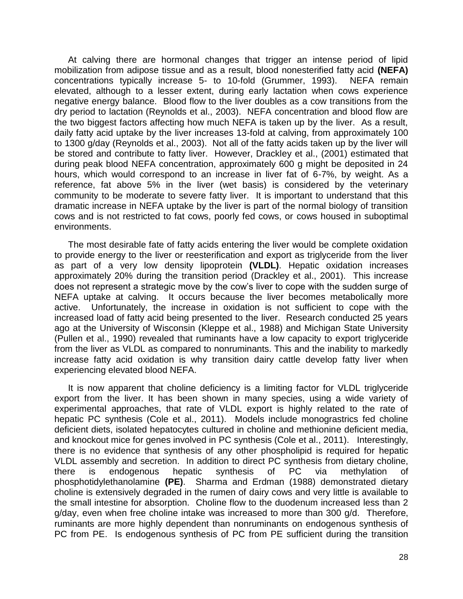At calving there are hormonal changes that trigger an intense period of lipid mobilization from adipose tissue and as a result, blood nonesterified fatty acid **(NEFA)** concentrations typically increase 5- to 10-fold (Grummer, 1993). NEFA remain elevated, although to a lesser extent, during early lactation when cows experience negative energy balance. Blood flow to the liver doubles as a cow transitions from the dry period to lactation (Reynolds et al., 2003). NEFA concentration and blood flow are the two biggest factors affecting how much NEFA is taken up by the liver. As a result, daily fatty acid uptake by the liver increases 13-fold at calving, from approximately 100 to 1300 g/day (Reynolds et al., 2003). Not all of the fatty acids taken up by the liver will be stored and contribute to fatty liver. However, Drackley et al., (2001) estimated that during peak blood NEFA concentration, approximately 600 g might be deposited in 24 hours, which would correspond to an increase in liver fat of 6-7%, by weight. As a reference, fat above 5% in the liver (wet basis) is considered by the veterinary community to be moderate to severe fatty liver. It is important to understand that this dramatic increase in NEFA uptake by the liver is part of the normal biology of transition cows and is not restricted to fat cows, poorly fed cows, or cows housed in suboptimal environments.

The most desirable fate of fatty acids entering the liver would be complete oxidation to provide energy to the liver or reesterification and export as triglyceride from the liver as part of a very low density lipoprotein **(VLDL)**. Hepatic oxidation increases approximately 20% during the transition period (Drackley et al., 2001). This increase does not represent a strategic move by the cow's liver to cope with the sudden surge of NEFA uptake at calving. It occurs because the liver becomes metabolically more active. Unfortunately, the increase in oxidation is not sufficient to cope with the increased load of fatty acid being presented to the liver. Research conducted 25 years ago at the University of Wisconsin (Kleppe et al., 1988) and Michigan State University (Pullen et al., 1990) revealed that ruminants have a low capacity to export triglyceride from the liver as VLDL as compared to nonruminants. This and the inability to markedly increase fatty acid oxidation is why transition dairy cattle develop fatty liver when experiencing elevated blood NEFA.

It is now apparent that choline deficiency is a limiting factor for VLDL triglyceride export from the liver. It has been shown in many species, using a wide variety of experimental approaches, that rate of VLDL export is highly related to the rate of hepatic PC synthesis (Cole et al., 2011). Models include monograstrics fed choline deficient diets, isolated hepatocytes cultured in choline and methionine deficient media, and knockout mice for genes involved in PC synthesis (Cole et al., 2011). Interestingly, there is no evidence that synthesis of any other phospholipid is required for hepatic VLDL assembly and secretion. In addition to direct PC synthesis from dietary choline, there is endogenous hepatic synthesis of PC via methylation of phosphotidylethanolamine **(PE)**. Sharma and Erdman (1988) demonstrated dietary choline is extensively degraded in the rumen of dairy cows and very little is available to the small intestine for absorption. Choline flow to the duodenum increased less than 2 g/day, even when free choline intake was increased to more than 300 g/d. Therefore, ruminants are more highly dependent than nonruminants on endogenous synthesis of PC from PE. Is endogenous synthesis of PC from PE sufficient during the transition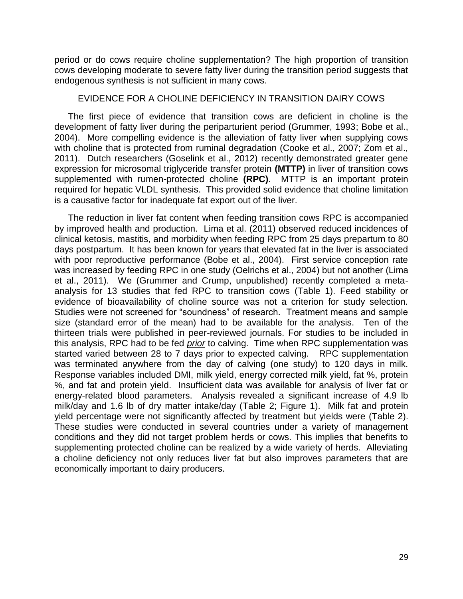period or do cows require choline supplementation? The high proportion of transition cows developing moderate to severe fatty liver during the transition period suggests that endogenous synthesis is not sufficient in many cows.

#### EVIDENCE FOR A CHOLINE DEFICIENCY IN TRANSITION DAIRY COWS

The first piece of evidence that transition cows are deficient in choline is the development of fatty liver during the periparturient period (Grummer, 1993; Bobe et al., 2004). More compelling evidence is the alleviation of fatty liver when supplying cows with choline that is protected from ruminal degradation (Cooke et al., 2007; Zom et al., 2011). Dutch researchers (Goselink et al., 2012) recently demonstrated greater gene expression for microsomal triglyceride transfer protein **(MTTP)** in liver of transition cows supplemented with rumen-protected choline **(RPC)**. MTTP is an important protein required for hepatic VLDL synthesis. This provided solid evidence that choline limitation is a causative factor for inadequate fat export out of the liver.

The reduction in liver fat content when feeding transition cows RPC is accompanied by improved health and production. Lima et al. (2011) observed reduced incidences of clinical ketosis, mastitis, and morbidity when feeding RPC from 25 days prepartum to 80 days postpartum. It has been known for years that elevated fat in the liver is associated with poor reproductive performance (Bobe et al., 2004). First service conception rate was increased by feeding RPC in one study (Oelrichs et al., 2004) but not another (Lima et al., 2011). We (Grummer and Crump, unpublished) recently completed a metaanalysis for 13 studies that fed RPC to transition cows (Table 1). Feed stability or evidence of bioavailability of choline source was not a criterion for study selection. Studies were not screened for "soundness" of research. Treatment means and sample size (standard error of the mean) had to be available for the analysis. Ten of the thirteen trials were published in peer-reviewed journals. For studies to be included in this analysis, RPC had to be fed *prior* to calving. Time when RPC supplementation was started varied between 28 to 7 days prior to expected calving. RPC supplementation was terminated anywhere from the day of calving (one study) to 120 days in milk. Response variables included DMI, milk yield, energy corrected milk yield, fat %, protein %, and fat and protein yield. Insufficient data was available for analysis of liver fat or energy-related blood parameters. Analysis revealed a significant increase of 4.9 lb milk/day and 1.6 lb of dry matter intake/day (Table 2; Figure 1). Milk fat and protein yield percentage were not significantly affected by treatment but yields were (Table 2). These studies were conducted in several countries under a variety of management conditions and they did not target problem herds or cows. This implies that benefits to supplementing protected choline can be realized by a wide variety of herds. Alleviating a choline deficiency not only reduces liver fat but also improves parameters that are economically important to dairy producers.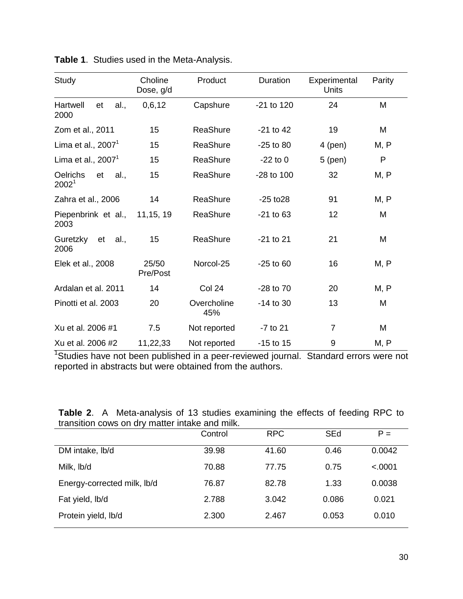| Study                                              | Choline<br>Dose, g/d | Product            | Duration       | Experimental<br>Units | Parity |
|----------------------------------------------------|----------------------|--------------------|----------------|-----------------------|--------|
| Hartwell<br>et<br>al.,<br>2000                     | 0,6,12               | Capshure           | -21 to 120     | 24                    | M      |
| Zom et al., 2011                                   | 15                   | <b>ReaShure</b>    | $-21$ to 42    | 19                    | M      |
| Lima et al., $20071$                               | 15                   | ReaShure           | $-25$ to 80    | $4$ (pen)             | M, P   |
| Lima et al., $20071$                               | 15                   | ReaShure           | $-22$ to 0     | $5$ (pen)             | P      |
| <b>Oelrichs</b><br>al.,<br>et<br>2002 <sup>1</sup> | 15                   | ReaShure           | $-28$ to $100$ | 32                    | M, P   |
| Zahra et al., 2006                                 | 14                   | ReaShure           | $-25$ to $28$  | 91                    | M, P   |
| Piepenbrink et al.,<br>2003                        | 11, 15, 19           | ReaShure           | $-21$ to 63    | 12                    | M      |
| Guretzky<br>et<br>al.,<br>2006                     | 15                   | <b>ReaShure</b>    | $-21$ to 21    | 21                    | M      |
| Elek et al., 2008                                  | 25/50<br>Pre/Post    | Norcol-25          | $-25$ to 60    | 16                    | M, P   |
| Ardalan et al. 2011                                | 14                   | Col 24             | -28 to 70      | 20                    | M, P   |
| Pinotti et al. 2003                                | 20                   | Overcholine<br>45% | $-14$ to 30    | 13                    | M      |
| Xu et al. 2006 #1                                  | 7.5                  | Not reported       | -7 to 21       | 7                     | M      |
| Xu et al. 2006 #2                                  | 11,22,33             | Not reported       | $-15$ to 15    | 9                     | M, P   |

**Table 1**. Studies used in the Meta-Analysis.

<sup>1</sup>Studies have not been published in a peer-reviewed journal. Standard errors were not reported in abstracts but were obtained from the authors.

|                                                |  | <b>Table 2.</b> A Meta-analysis of 13 studies examining the effects of feeding RPC to |  |  |  |  |  |  |  |  |  |  |
|------------------------------------------------|--|---------------------------------------------------------------------------------------|--|--|--|--|--|--|--|--|--|--|
| transition cows on dry matter intake and milk. |  |                                                                                       |  |  |  |  |  |  |  |  |  |  |

|                             | Control | <b>RPC</b> | <b>SEd</b> | $P =$   |
|-----------------------------|---------|------------|------------|---------|
| DM intake, lb/d             | 39.98   | 41.60      | 0.46       | 0.0042  |
| Milk, lb/d                  | 70.88   | 77.75      | 0.75       | < .0001 |
| Energy-corrected milk, lb/d | 76.87   | 82.78      | 1.33       | 0.0038  |
| Fat yield, lb/d             | 2.788   | 3.042      | 0.086      | 0.021   |
| Protein yield, lb/d         | 2.300   | 2.467      | 0.053      | 0.010   |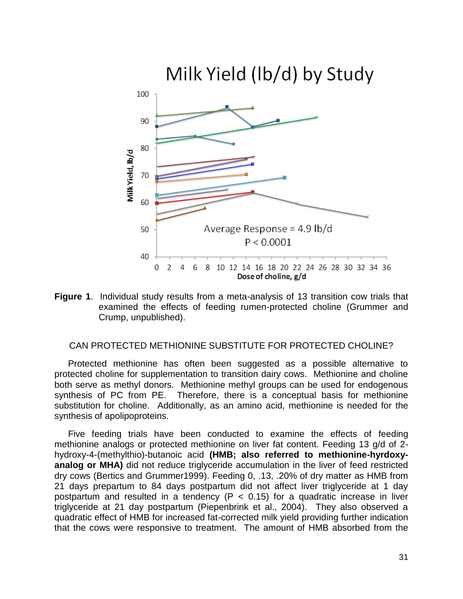

**Figure 1**. Individual study results from a meta-analysis of 13 transition cow trials that examined the effects of feeding rumen-protected choline (Grummer and Crump, unpublished).

# CAN PROTECTED METHIONINE SUBSTITUTE FOR PROTECTED CHOLINE?

Protected methionine has often been suggested as a possible alternative to protected choline for supplementation to transition dairy cows. Methionine and choline both serve as methyl donors. Methionine methyl groups can be used for endogenous synthesis of PC from PE. Therefore, there is a conceptual basis for methionine substitution for choline. Additionally, as an amino acid, methionine is needed for the synthesis of apolipoproteins.

Five feeding trials have been conducted to examine the effects of feeding methionine analogs or protected methionine on liver fat content. Feeding 13 g/d of 2 hydroxy-4-(methylthio)-butanoic acid **(HMB; also referred to methionine-hyrdoxyanalog or MHA)** did not reduce triglyceride accumulation in the liver of feed restricted dry cows (Bertics and Grummer1999). Feeding 0, .13, .20% of dry matter as HMB from 21 days prepartum to 84 days postpartum did not affect liver triglyceride at 1 day postpartum and resulted in a tendency ( $P < 0.15$ ) for a quadratic increase in liver triglyceride at 21 day postpartum (Piepenbrink et al., 2004). They also observed a quadratic effect of HMB for increased fat-corrected milk yield providing further indication that the cows were responsive to treatment. The amount of HMB absorbed from the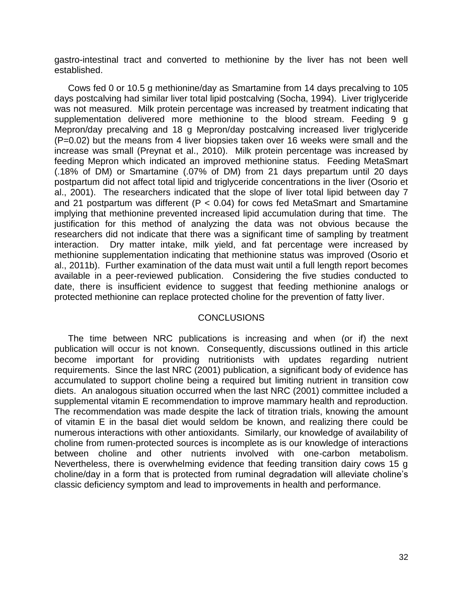gastro-intestinal tract and converted to methionine by the liver has not been well established.

Cows fed 0 or 10.5 g methionine/day as Smartamine from 14 days precalving to 105 days postcalving had similar liver total lipid postcalving (Socha, 1994). Liver triglyceride was not measured. Milk protein percentage was increased by treatment indicating that supplementation delivered more methionine to the blood stream. Feeding 9 g Mepron/day precalving and 18 g Mepron/day postcalving increased liver triglyceride (P=0.02) but the means from 4 liver biopsies taken over 16 weeks were small and the increase was small (Preynat et al., 2010). Milk protein percentage was increased by feeding Mepron which indicated an improved methionine status. Feeding MetaSmart (.18% of DM) or Smartamine (.07% of DM) from 21 days prepartum until 20 days postpartum did not affect total lipid and triglyceride concentrations in the liver (Osorio et al., 2001). The researchers indicated that the slope of liver total lipid between day 7 and 21 postpartum was different ( $P < 0.04$ ) for cows fed MetaSmart and Smartamine implying that methionine prevented increased lipid accumulation during that time. The justification for this method of analyzing the data was not obvious because the researchers did not indicate that there was a significant time of sampling by treatment interaction. Dry matter intake, milk yield, and fat percentage were increased by methionine supplementation indicating that methionine status was improved (Osorio et al., 2011b). Further examination of the data must wait until a full length report becomes available in a peer-reviewed publication. Considering the five studies conducted to date, there is insufficient evidence to suggest that feeding methionine analogs or protected methionine can replace protected choline for the prevention of fatty liver.

# **CONCLUSIONS**

The time between NRC publications is increasing and when (or if) the next publication will occur is not known. Consequently, discussions outlined in this article become important for providing nutritionists with updates regarding nutrient requirements. Since the last NRC (2001) publication, a significant body of evidence has accumulated to support choline being a required but limiting nutrient in transition cow diets. An analogous situation occurred when the last NRC (2001) committee included a supplemental vitamin E recommendation to improve mammary health and reproduction. The recommendation was made despite the lack of titration trials, knowing the amount of vitamin E in the basal diet would seldom be known, and realizing there could be numerous interactions with other antioxidants. Similarly, our knowledge of availability of choline from rumen-protected sources is incomplete as is our knowledge of interactions between choline and other nutrients involved with one-carbon metabolism. Nevertheless, there is overwhelming evidence that feeding transition dairy cows 15 g choline/day in a form that is protected from ruminal degradation will alleviate choline's classic deficiency symptom and lead to improvements in health and performance.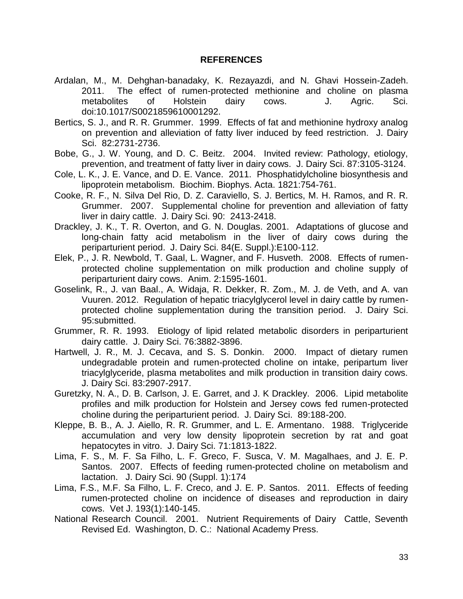#### **REFERENCES**

- Ardalan, M., M. Dehghan-banadaky, K. Rezayazdi, and N. Ghavi Hossein-Zadeh. 2011. The effect of rumen-protected methionine and choline on plasma metabolites of Holstein dairy cows. J. Agric. Sci. doi:10.1017/S0021859610001292.
- Bertics, S. J., and R. R. Grummer. 1999. Effects of fat and methionine hydroxy analog on prevention and alleviation of fatty liver induced by feed restriction. J. Dairy Sci. 82:2731-2736.
- Bobe, G., J. W. Young, and D. C. Beitz. 2004. Invited review: Pathology, etiology, prevention, and treatment of fatty liver in dairy cows. J. Dairy Sci. 87:3105-3124.
- Cole, L. K., J. E. Vance, and D. E. Vance. 2011. Phosphatidylcholine biosynthesis and lipoprotein metabolism. Biochim. Biophys. Acta. 1821:754-761.
- Cooke, R. F., N. Silva Del Rio, D. Z. Caraviello, S. J. Bertics, M. H. Ramos, and R. R. Grummer. 2007. Supplemental choline for prevention and alleviation of fatty liver in dairy cattle. J. Dairy Sci. 90: 2413-2418.
- Drackley, J. K., T. R. Overton, and G. N. Douglas. 2001. Adaptations of glucose and long-chain fatty acid metabolism in the liver of dairy cows during the periparturient period. J. Dairy Sci. 84(E. Suppl.):E100-112.
- Elek, P., J. R. Newbold, T. Gaal, L. Wagner, and F. Husveth. 2008. Effects of rumenprotected choline supplementation on milk production and choline supply of periparturient dairy cows. Anim. 2:1595-1601.
- Goselink, R., J. van Baal., A. Widaja, R. Dekker, R. Zom., M. J. de Veth, and A. van Vuuren. 2012. Regulation of hepatic triacylglycerol level in dairy cattle by rumenprotected choline supplementation during the transition period. J. Dairy Sci. 95:submitted.
- Grummer, R. R. 1993. Etiology of lipid related metabolic disorders in periparturient dairy cattle. J. Dairy Sci. 76:3882-3896.
- Hartwell, J. R., M. J. Cecava, and S. S. Donkin. 2000. Impact of dietary rumen undegradable protein and rumen-protected choline on intake, peripartum liver triacylglyceride, plasma metabolites and milk production in transition dairy cows. J. Dairy Sci. 83:2907-2917.
- Guretzky, N. A., D. B. Carlson, J. E. Garret, and J. K Drackley. 2006. Lipid metabolite profiles and milk production for Holstein and Jersey cows fed rumen-protected choline during the periparturient period. J. Dairy Sci. 89:188-200.
- Kleppe, B. B., A. J. Aiello, R. R. Grummer, and L. E. Armentano. 1988. Triglyceride accumulation and very low density lipoprotein secretion by rat and goat hepatocytes in vitro. J. Dairy Sci. 71:1813-1822.
- Lima, F. S., M. F. Sa Filho, L. F. Greco, F. Susca, V. M. Magalhaes, and J. E. P. Santos. 2007. Effects of feeding rumen-protected choline on metabolism and lactation. J. Dairy Sci. 90 (Suppl. 1):174
- Lima, F.S., M.F. Sa Filho, L. F. Creco, and J. E. P. Santos. 2011. Effects of feeding rumen-protected choline on incidence of diseases and reproduction in dairy cows. Vet J. 193(1):140-145.
- National Research Council. 2001. Nutrient Requirements of Dairy Cattle, Seventh Revised Ed. Washington, D. C.: National Academy Press.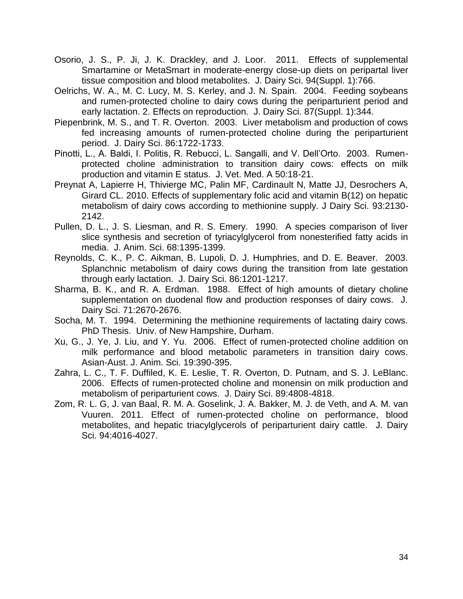- Osorio, J. S., P. Ji, J. K. Drackley, and J. Loor. 2011. Effects of supplemental Smartamine or MetaSmart in moderate-energy close-up diets on peripartal liver tissue composition and blood metabolites. J. Dairy Sci. 94(Suppl. 1):766.
- Oelrichs, W. A., M. C. Lucy, M. S. Kerley, and J. N. Spain. 2004. Feeding soybeans and rumen-protected choline to dairy cows during the periparturient period and early lactation. 2. Effects on reproduction. J. Dairy Sci. 87(Suppl. 1):344.
- Piepenbrink, M. S., and T. R. Overton. 2003. Liver metabolism and production of cows fed increasing amounts of rumen-protected choline during the periparturient period. J. Dairy Sci. 86:1722-1733.
- Pinotti, L., A. Baldi, I. Politis, R. Rebucci, L. Sangalli, and V. Dell'Orto. 2003. Rumenprotected choline administration to transition dairy cows: effects on milk production and vitamin E status. J. Vet. Med. A 50:18-21.
- Preynat A, Lapierre H, Thivierge MC, Palin MF, Cardinault N, Matte JJ, Desrochers A, Girard CL. 2010. Effects of supplementary folic acid and vitamin B(12) on hepatic metabolism of dairy cows according to methionine supply. J Dairy Sci. 93:2130- 2142.
- Pullen, D. L., J. S. Liesman, and R. S. Emery. 1990. A species comparison of liver slice synthesis and secretion of tyriacylglycerol from nonesterified fatty acids in media. J. Anim. Sci. 68:1395-1399.
- Reynolds, C. K., P. C. Aikman, B. Lupoli, D. J. Humphries, and D. E. Beaver. 2003. Splanchnic metabolism of dairy cows during the transition from late gestation through early lactation. J. Dairy Sci. 86:1201-1217.
- Sharma, B. K., and R. A. Erdman. 1988. Effect of high amounts of dietary choline supplementation on duodenal flow and production responses of dairy cows. J. Dairy Sci. 71:2670-2676.
- Socha, M. T. 1994. Determining the methionine requirements of lactating dairy cows. PhD Thesis. Univ. of New Hampshire, Durham.
- Xu, G., J. Ye, J. Liu, and Y. Yu. 2006. Effect of rumen-protected choline addition on milk performance and blood metabolic parameters in transition dairy cows. Asian-Aust. J. Anim. Sci. 19:390-395.
- Zahra, L. C., T. F. Duffiled, K. E. Leslie, T. R. Overton, D. Putnam, and S. J. LeBlanc. 2006. Effects of rumen-protected choline and monensin on milk production and metabolism of periparturient cows. J. Dairy Sci. 89:4808-4818.
- Zom, R. L. G, J. van Baal, R. M. A. Goselink, J. A. Bakker, M. J. de Veth, and A. M. van Vuuren. 2011. Effect of rumen-protected choline on performance, blood metabolites, and hepatic triacylglycerols of periparturient dairy cattle. J. Dairy Sci. 94:4016-4027.